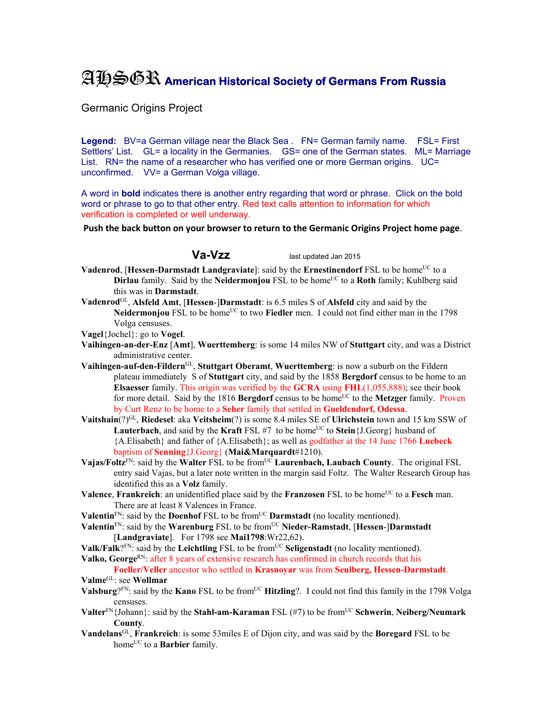## AHSGR **American Historical Society of Germans From Russia**

Germanic Origins Project

Legend: BV=a German village near the Black Sea . FN= German family name. FSL= First Settlers' List. GL= a locality in the Germanies. GS= one of the German states. ML= Marriage List. RN= the name of a researcher who has verified one or more German origins. UC= unconfirmed. VV= a German Volga village.

A word in **bold** indicates there is another entry regarding that word or phrase. Click on the bold word or phrase to go to that other entry. Red text calls attention to information for which verification is completed or well underway.

**Push the back button on your browser to return to the Germanic Origins Project home page**.

**Va-Vzz** last updated Jan 2015

- **Vadenrod**, [Hessen-Darmstadt Landgraviate]: said by the Ernestinendorf FSL to be home<sup>UC</sup> to a **Dirlau** family. Said by the **Neidermonjou** FSL to be home<sup>UC</sup> to a **Roth** family; Kuhlberg said this was in **Darmstadt**.
- **Vadenrod**GL, **Alsfeld Amt**, [**Hessen**-]**Darmstadt**: is 6.5 miles S of **Alsfeld** city and said by the **Neidermonjou** FSL to be home<sup>UC</sup> to two **Fiedler** men. I could not find either man in the 1798 Volga censuses.

**Vagel**{Jochel}: go to **Vogel**.

- **Vaihingen-an-der-Enz** [**Amt**], **Wuerttemberg**: is some 14 miles NW of **Stuttgart** city, and was a District administrative center.
- **Vaihingen-auf-den-Fildern**GL, **Stuttgart Oberamt**, **Wuerttemberg**: is now a suburb on the Fildern plateau immediately S of **Stuttgart** city, and said by the 1858 **Bergdorf** census to be home to an **Elsaesser** family. This origin was verified by the **GCRA** using **FHL**(1,055,888); see their book for more detail. Said by the 1816 **Bergdorf** census to be home<sup>UC</sup> to the **Metzger** family. Proven by Curt Renz to be home to a **Seher** family that settled in **Gueldendorf, Odessa**.
- **Vaitshain**(?)GL, **Riedesel**: aka **Veitsheim**(?) is some 8.4 miles SE of **Ulrichstein** town and 15 km SSW of **Lauterbach**, and said by the **Kraft** FSL #7 to be home<sup>UC</sup> to **Stein**{J.Georg} husband of {A.Elisabeth} and father of {A.Elisabeth}; as well as godfather at the 14 June 1766 **Luebeck** baptism of **Senning**{J.Georg} (**Mai&Marquardt**#1210).
- **Vajas/Foltz<sup>FN</sup>: said by the Walter FSL to be from<sup>UC</sup> Laurenbach, Laubach County. The original FSL** entry said Vajas, but a later note written in the margin said Foltz. The Walter Research Group has identified this as a **Volz** family.
- **Valence**, **Frankreich**: an unidentified place said by the **Franzosen** FSL to be home<sup>UC</sup> to a **Fesch** man. There are at least 8 Valences in France.
- Valentin<sup>FN</sup>: said by the **Doenhof** FSL to be from<sup>UC</sup> **Darmstadt** (no locality mentioned).
- **Valentin**FN: said by the **Warenburg** FSL to be fromUC **Nieder-Ramstadt**, [**Hessen**-]**Darmstadt** [**Landgraviate**]. For 1798 see **Mai1798**:Wr22,62).
- **Valk/Falk**?<sup>FN</sup>: said by the **Leichtling** FSL to be from<sup>UC</sup> Seligenstadt (no locality mentioned).
- **Valko, George**<sup>RN</sup>: after 8 years of extensive research has confirmed in church records that his

**Foeller/Veller** ancestor who settled in **Krasnoyar** was from **Seulberg, Hessen-Darmstadt**. **Valme**GL: see **Wollmar**

- **Valsburg**? $F_N$ : said by the **Kano** FSL to be from<sup>UC</sup> **Hitzling**?. I could not find this family in the 1798 Volga censuses.
- **Valter**<sup>FN</sup>{Johann}: said by the **Stahl-am-Karaman** FSL (#7) to be from<sup>UC</sup> **Schwerin**, **Neiberg/Neumark County**.
- **Vandelans**GL, **Frankreich**: is some 53miles E of Dijon city, and was said by the **Boregard** FSL to be home<sup>UC</sup> to a **Barbier** family.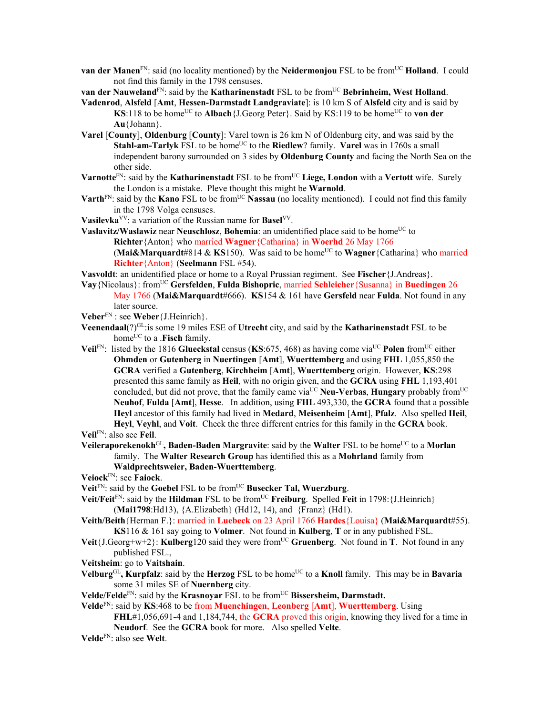**van der Manen**<sup>FN</sup>: said (no locality mentioned) by the **Neidermonjou** FSL to be from<sup>UC</sup> **Holland**. I could not find this family in the 1798 censuses.

**van der Nauweland**<sup>FN</sup>: said by the **Katharinenstadt** FSL to be from<sup>UC</sup> Bebrinheim, West Holland.

- **Vadenrod**, **Alsfeld** [**Amt**, **Hessen-Darmstadt Landgraviate**]: is 10 km S of **Alsfeld** city and is said by **KS**:118 to be home<sup>UC</sup> to **Albach**{J.Georg Peter}. Said by KS:119 to be home<sup>UC</sup> to **von der Au**{Johann}.
- **Varel** [**County**], **Oldenburg** [**County**]: Varel town is 26 km N of Oldenburg city, and was said by the **Stahl-am-Tarlyk** FSL to be home<sup>UC</sup> to the **Riedlew**? family. **Varel** was in 1760s a small independent barony surrounded on 3 sides by **Oldenburg County** and facing the North Sea on the other side.
- Varnotte<sup>FN</sup>: said by the **Katharinenstadt** FSL to be from<sup>UC</sup> Liege, London with a Vertott wife. Surely the London is a mistake. Pleve thought this might be **Warnold**.
- **Varth**<sup>FN</sup>: said by the **Kano** FSL to be from<sup>UC</sup> **Nassau** (no locality mentioned). I could not find this family in the 1798 Volga censuses.
- **Vasilevka**VV: a variation of the Russian name for **Basel**VV.
- **Vaslavitz/Waslawiz near Neuschlosz, Bohemia**: an unidentified place said to be home<sup>UC</sup> to **Richter**{Anton} who married **Wagner**{Catharina} in **Woerhd** 26 May 1766 (Mai&Marquardt#814 & KS150). Was said to be home<sup>UC</sup> to Wagner<sup>{Catharina}</sup> who married **Richter**{Anton} (**Seelmann** FSL #54).

**Vasvoldt**: an unidentified place or home to a Royal Prussian regiment. See **Fischer**{J.Andreas}.

**Vay**{Nicolaus}: fromUC **Gersfelden**, **Fulda Bishopric**, married **Schleicher**{Susanna} in **Buedingen** 26 May 1766 (**Mai&Marquardt**#666). **KS**154 & 161 have **Gersfeld** near **Fulda**. Not found in any later source.

**Veber**FN : see **Weber**{J.Heinrich}.

- **Veenendaal**(?)GL:is some 19 miles ESE of **Utrecht** city, and said by the **Katharinenstadt** FSL to be home<sup>UC</sup> to a .**Fisch** family.
- **Veil**FN: listed by the 1816 **Glueckstal** census (**KS**:675, 468) as having come via<sup>UC</sup> Polen from<sup>UC</sup> either **Ohmden** or **Gutenberg** in **Nuertingen** [**Amt**], **Wuerttemberg** and using **FHL** 1,055,850 the **GCRA** verified a **Gutenberg**, **Kirchheim** [**Amt**], **Wuerttemberg** origin. However, **KS**:298 presented this same family as **Heil**, with no origin given, and the **GCRA** using **FHL** 1,193,401 concluded, but did not prove, that the family came via<sup>UC</sup> Neu-Verbas, Hungary probably from<sup>UC</sup> **Neuhof**, **Fulda** [**Amt**], **Hesse**. In addition, using **FHL** 493,330, the **GCRA** found that a possible **Heyl** ancestor of this family had lived in **Medard**, **Meisenheim** [**Amt**], **Pfalz**. Also spelled **Heil**, **Heyl**, **Veyhl**, and **Voit**. Check the three different entries for this family in the **GCRA** book. **Veil**FN: also see **Feil**.

**Veileraporekenokh**GL**, Baden-Baden Margravite**: said by the **Walter** FSL to be homeUC to a **Morlan** family. The **Walter Research Group** has identified this as a **Mohrland** family from

## **Waldprechtsweier, Baden-Wuerttemberg**.

- **Veiock**FN: see **Faiock**.
- **Veit**<sup>FN</sup>: said by the **Goebel** FSL to be from<sup>UC</sup> **Busecker Tal, Wuerzburg**.
- **Veit/Feit**<sup>FN</sup>: said by the **Hildman** FSL to be from<sup>UC</sup> **Freiburg**. Spelled **Feit** in 1798: {J.Heinrich} (**Mai1798**:Hd13), {A.Elizabeth} (Hd12, 14), and {Franz} (Hd1).
- **Veith/Beith**{Herman F.}: married in **Luebeck** on 23 April 1766 **Hardes**{Louisa} (**Mai&Marquardt**#55). **KS**116 & 161 say going to **Volmer**. Not found in **Kulberg**, **T** or in any published FSL.
- **Veit** $\{J.Georg+w+2\}$ : **Kulberg**120 said they were from<sup>UC</sup> Gruenberg. Not found in **T**. Not found in any published FSL.,
- **Veitsheim**: go to **Vaitshain**.
- **Velburg**<sup>GL</sup>, **Kurpfalz**: said by the **Herzog** FSL to be home<sup>UC</sup> to a **Knoll** family. This may be in **Bavaria** some 31 miles SE of **Nuernberg** city.
- **Velde/Felde**<sup>FN</sup>: said by the **Krasnovar** FSL to be from<sup>UC</sup> **Bissersheim, Darmstadt.**

**Velde**FN: said by **KS**:468 to be from **Muenchingen**, **Leonberg** [**Amt**], **Wuerttemberg**. Using **FHL**#1,056,691-4 and 1,184,744, the **GCRA** proved this origin, knowing they lived for a time in

**Neudorf**. See the **GCRA** book for more. Also spelled **Velte**.

**Velde**FN: also see **Welt**.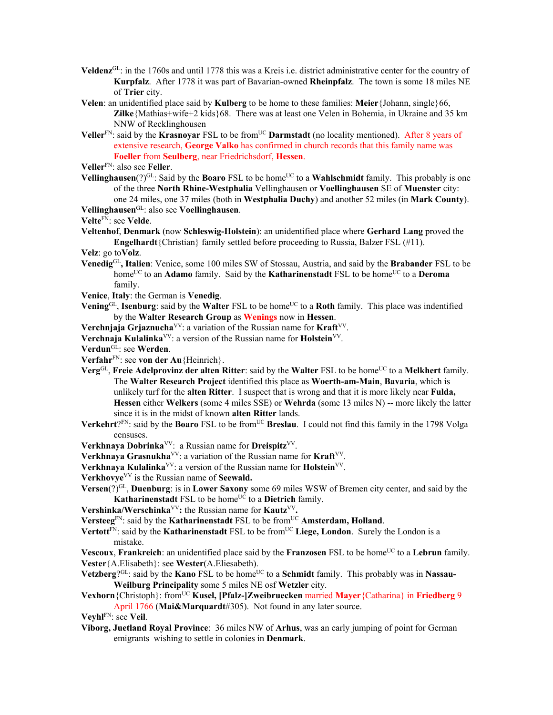- **Veldenz**GL: in the 1760s and until 1778 this was a Kreis i.e. district administrative center for the country of **Kurpfalz**. After 1778 it was part of Bavarian-owned **Rheinpfalz**. The town is some 18 miles NE of **Trier** city.
- **Velen**: an unidentified place said by **Kulberg** to be home to these families: **Meier**{Johann, single}66, **Zilke**{Mathias+wife+2 kids}68. There was at least one Velen in Bohemia, in Ukraine and 35 km NNW of Recklinghousen
- **Veller**<sup>FN</sup>: said by the **Krasnoyar** FSL to be from<sup>UC</sup> **Darmstadt** (no locality mentioned). After 8 years of extensive research, **George Valko** has confirmed in church records that this family name was **Foeller** from **Seulberg**, near Friedrichsdorf, **Hessen**.

**Veller**FN: also see **Feller**.

**Vellinghausen** $(?)^{GL}$ : Said by the **Boaro** FSL to be home<sup>UC</sup> to a **Wahlschmidt** family. This probably is one of the three **North Rhine-Westphalia** Vellinghausen or **Voellinghausen** SE of **Muenster** city: one 24 miles, one 37 miles (both in **Westphalia Duchy**) and another 52 miles (in **Mark County**). **Vellinghausen**GL: also see **Voellinghausen**.

**Velte**FN: see **Velde**.

- **Veltenhof**, **Denmark** (now **Schleswig-Holstein**): an unidentified place where **Gerhard Lang** proved the **Engelhardt**{Christian} family settled before proceeding to Russia, Balzer FSL (#11).
- **Velz**: go to**Volz**.
- **Venedig**GL**, Italien**: Venice, some 100 miles SW of Stossau, Austria, and said by the **Brabander** FSL to be home<sup>UC</sup> to an **Adamo** family. Said by the **Katharinenstadt** FSL to be home<sup>UC</sup> to a **Deroma** family.
- **Venice**, **Italy**: the German is **Venedig**.
- **Vening**<sup>GL</sup>, **Isenburg**: said by the **Walter** FSL to be home<sup>UC</sup> to a **Roth** family. This place was indentified by the **Walter Research Group** as **Wenings** now in **Hessen**.

Verchnjaja Grjaznucha<sup>VV</sup>: a variation of the Russian name for Kraft<sup>VV</sup>.

- **Verchnaja Kulalinka**<sup>VV</sup>: a version of the Russian name for **Holstein**<sup>VV</sup>.
- **Verdun**GL: see **Werden**.

**Verfahr**FN: see **von der Au**{Heinrich}.

- **Verg**<sup>GL</sup>, **Freie Adelprovinz der alten Ritter**: said by the **Walter** FSL to be home<sup>UC</sup> to a **Melkhert** family. The **Walter Research Project** identified this place as **Woerth-am-Main**, **Bavaria**, which is unlikely turf for the **alten Ritter**. I suspect that is wrong and that it is more likely near **Fulda, Hessen** either **Welkers** (some 4 miles SSE) or **Wehrda** (some 13 miles N) -- more likely the latter since it is in the midst of known **alten Ritter** lands.
- **Verkehrt**?<sup>FN</sup>: said by the **Boaro** FSL to be from<sup>UC</sup> **Breslau**. I could not find this family in the 1798 Volga censuses.
- **Verkhnaya Dobrinka**VV: a Russian name for **Dreispitz**VV.
- **Verkhnaya Grasnukha**<sup>VV</sup>: a variation of the Russian name for **Kraft**<sup>VV</sup>.
- Verkhnaya Kulalinka<sup>VV</sup>: a version of the Russian name for Holstein<sup>VV</sup>.

**Verkhovye**VV is the Russian name of **Seewald.** 

- **Versen**(?)<sup>GL</sup>, **Duenburg**: is in **Lower Saxony** some 69 miles WSW of Bremen city center, and said by the **Katharinenstadt** FSL to be home<sup>UC</sup> to a **Dietrich** family.
- **Vershinka/Werschinka**VV**:** the Russian name for **Kautz**VV**.**

Versteeg<sup>FN</sup>: said by the **Katharinenstadt** FSL to be from<sup>UC</sup> Amsterdam, Holland.

- Vertott<sup>FN</sup>: said by the **Katharinenstadt** FSL to be from<sup>UC</sup> Liege, London. Surely the London is a mistake.
- **Vescoux**, **Frankreich**: an unidentified place said by the **Franzosen** FSL to be home<sup>UC</sup> to a Lebrun family. **Vester**{A.Elisabeth}: see **Wester**(A.Eliesabeth).
- **Vetzberg**<sup>2GL</sup>: said by the **Kano** FSL to be home<sup>UC</sup> to a **Schmidt** family. This probably was in **Nassau-Weilburg Principality** some 5 miles NE osf **Wetzler** city.
- **Vexhorn**{Christoph}: fromUC **Kusel, [Pfalz-]Zweibruecken** married **Mayer**{Catharina} in **Friedberg** 9 April 1766 (**Mai&Marquardt**#305). Not found in any later source.

**Veyhl**FN: see **Veil**.

**Viborg, Juetland Royal Province**: 36 miles NW of **Arhus**, was an early jumping of point for German emigrants wishing to settle in colonies in **Denmark**.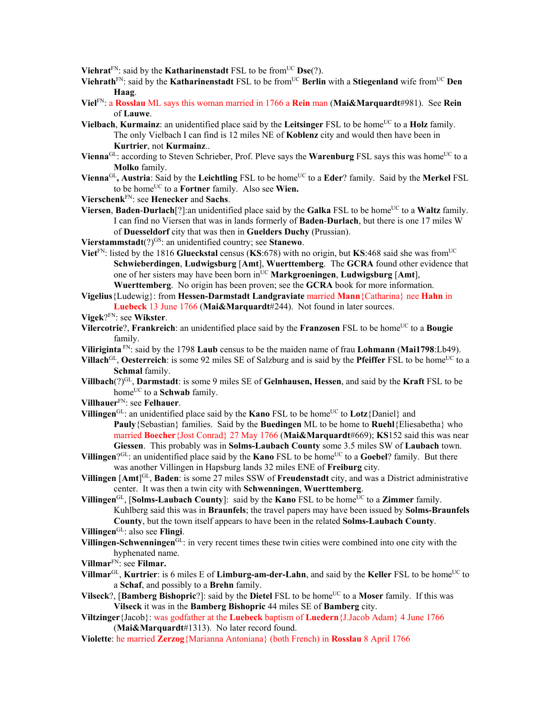**Viehrat**<sup>FN</sup>: said by the **Katharinenstadt** FSL to be from<sup>UC</sup> **Dse**(?).

- Viehrath<sup>FN</sup>: said by the Katharinenstadt FSL to be from<sup>UC</sup> Berlin with a Stiegenland wife from<sup>UC</sup> Den **Haag**.
- **Viel**FN: a **Rosslau** ML says this woman married in 1766 a **Rein** man (**Mai&Marquardt**#981). See **Rein** of **Lauwe**.
- **Vielbach, Kurmainz**: an unidentified place said by the **Leitsinger** FSL to be home<sup>UC</sup> to a **Holz** family. The only Vielbach I can find is 12 miles NE of **Koblenz** city and would then have been in **Kurtrier**, not **Kurmainz**..
- Vienna<sup>GL</sup>: according to Steven Schrieber, Prof. Pleve says the Warenburg FSL says this was home<sup>UC</sup> to a **Molko** family.
- **Vienna**<sup>GL</sup>, Austria: Said by the Leichtling FSL to be home<sup>UC</sup> to a Eder? family. Said by the Merkel FSL to be homeUC to a **Fortner** family. Also see **Wien.**
- **Vierschenk**FN: see **Henecker** and **Sachs**.
- **Viersen**, **Baden-Durlach**[?]:an unidentified place said by the **Galka** FSL to be home<sup>UC</sup> to a **Waltz** family. I can find no Viersen that was in lands formerly of **Baden**-**Durlach**, but there is one 17 miles W of **Duesseldorf** city that was then in **Guelders Duchy** (Prussian).

**Vierstammstadt**(?)<sup>GS</sup>: an unidentified country; see **Stanewo**.

- Viet<sup>FN</sup>: listed by the 1816 Glueckstal census (KS:678) with no origin, but KS:468 said she was from<sup>UC</sup> **Schwieberdingen**, **Ludwigsburg** [**Amt**], **Wuerttemberg**. The **GCRA** found other evidence that one of her sisters may have been born inUC **Markgroeningen**, **Ludwigsburg** [**Amt**], **Wuerttemberg**. No origin has been proven; see the **GCRA** book for more information.
- **Vigelius**{Ludewig}: from **Hessen-Darmstadt Landgraviate** married **Mann**{Catharina} nee **Hahn** in **Luebeck** 13 June 1766 (**Mai&Marquardt**#244). Not found in later sources.
- **Vigek**?FN: see **Wikster**.
- **Vilercotrie**?, **Frankreich**: an unidentified place said by the **Franzosen** FSL to be home<sup>UC</sup> to a **Bougie** family.
- **Viliriginta** FN: said by the 1798 **Laub** census to be the maiden name of frau **Lohmann** (**Mai1798**:Lb49).
- **Villach**GL, **Oesterreich**: is some 92 miles SE of Salzburg and is said by the **Pfeiffer** FSL to be home<sup>UC</sup> to a **Schmal** family.
- **Villbach**(?)GL, **Darmstadt**: is some 9 miles SE of **Gelnhausen, Hessen**, and said by the **Kraft** FSL to be home<sup>UC</sup> to a **Schwab** family.
- **Villhauer**FN: see **Felhauer**.
- **Villingen**<sup>GL</sup>: an unidentified place said by the **Kano** FSL to be home<sup>UC</sup> to **Lotz**{Daniel} and **Pauly**{Sebastian} families. Said by the **Buedingen** ML to be home to **Ruehl**{Eliesabetha} who married **Boecher**{Jost Conrad} 27 May 1766 (**Mai&Marquardt**#669); **KS**152 said this was near **Giessen**. This probably was in **Solms-Laubach County** some 3.5 miles SW of **Laubach** town.
- **Villingen**?<sup>GL</sup>: an unidentified place said by the **Kano** FSL to be home<sup>UC</sup> to a **Goebel**? family. But there was another Villingen in Hapsburg lands 32 miles ENE of **Freiburg** city.
- **Villingen** [**Amt**] GL, **Baden**: is some 27 miles SSW of **Freudenstadt** city, and was a District administrative center. It was then a twin city with **Schwenningen**, **Wuerttemberg**.
- **Villingen**<sup>GL</sup>, [**Solms-Laubach County**]: said by the **Kano** FSL to be home<sup>UC</sup> to a **Zimmer** family. Kuhlberg said this was in **Braunfels**; the travel papers may have been issued by **Solms-Braunfels County**, but the town itself appears to have been in the related **Solms-Laubach County**.
- **Villingen**GL: also see **Flingi**.
- **Villingen-Schwenningen**GL: in very recent times these twin cities were combined into one city with the hyphenated name.
- **Villmar**FN: see **Filmar.**
- **Villmar**<sup>GL</sup>, **Kurtrier**: is 6 miles E of **Limburg-am-der-Lahn**, and said by the **Keller** FSL to be home<sup>UC</sup> to a **Schaf**, and possibly to a **Brehn** family.
- **Vilseck**?, [Bamberg Bishopric?]: said by the Dietel FSL to be home<sup>UC</sup> to a Moser family. If this was **Vilseck** it was in the **Bamberg Bishopric** 44 miles SE of **Bamberg** city.
- **Viltzinger**{Jacob}: was godfather at the **Luebeck** baptism of **Luedern**{J.Jacob Adam} 4 June 1766 (**Mai&Marquardt**#1313). No later record found.
- **Violette**: he married **Zerzog**{Marianna Antoniana} (both French) in **Rosslau** 8 April 1766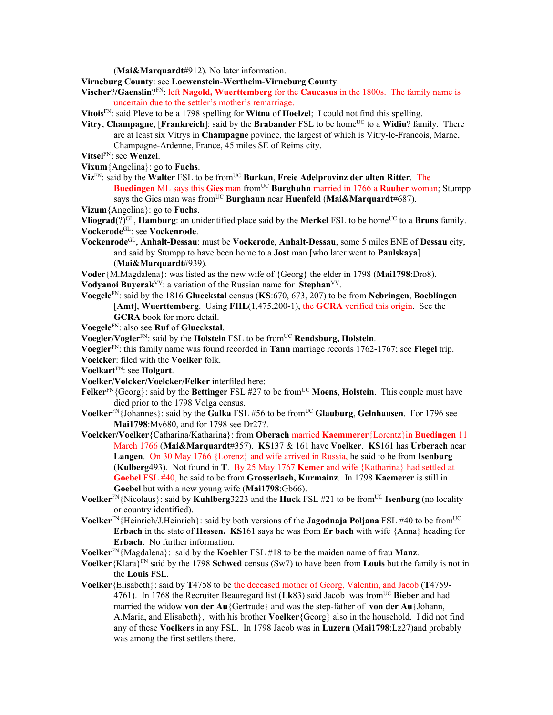(**Mai&Marquardt**#912). No later information.

**Virneburg County**: see **Loewenstein-Wertheim-Virneburg County**.

**Vischer**?**/Gaenslin**?FN: left **Nagold, Wuerttemberg** for the **Caucasus** in the 1800s. The family name is uncertain due to the settler's mother's remarriage.

**Vitois**FN: said Pleve to be a 1798 spelling for **Witna** of **Hoelzel**; I could not find this spelling.

- **Vitry, Champagne**, [**Frankreich**]: said by the **Brabander** FSL to be home<sup>UC</sup> to a **Widiu**? family. There are at least six Vitrys in **Champagne** povince, the largest of which is Vitry-le-Francois, Marne, Champagne-Ardenne, France, 45 miles SE of Reims city.
- **Vitsel**FN: see **Wenzel**.
- **Vixum**{Angelina}: go to **Fuchs**.
- **Viz**FN: said by the **Walter** FSL to be fromUC **Burkan**, **Freie Adelprovinz der alten Ritter**. The **Buedingen** ML says this Gies man from<sup>UC</sup> Burghuhn married in 1766 a Rauber woman; Stumpp says the Gies man was from<sup>UC</sup> Burghaun near **Huenfeld** (Mai&Marquardt#687).
- **Vizum**{Angelina}: go to **Fuchs**.

**Vliograd**(?)<sup>GL</sup>, **Hamburg**: an unidentified place said by the **Merkel** FSL to be home<sup>UC</sup> to a **Bruns** family. **Vockerode**GL: see **Vockenrode**.

**Vockenrode**GL, **Anhalt-Dessau**: must be **Vockerode**, **Anhalt-Dessau**, some 5 miles ENE of **Dessau** city, and said by Stumpp to have been home to a **Jost** man [who later went to **Paulskaya**] (**Mai&Marquardt**#939).

**Voder**{M.Magdalena}: was listed as the new wife of {Georg} the elder in 1798 (**Mai1798**:Dro8). **Vodyanoi Buyerak**VV: a variation of the Russian name for **Stephan**VV.

- **Voegele**FN: said by the 1816 **Glueckstal** census (**KS**:670, 673, 207) to be from **Nebringen**, **Boeblingen** [**Amt**], **Wuerttemberg**. Using **FHL**(1,475,200-1), the **GCRA** verified this origin. See the **GCRA** book for more detail.
- **Voegele**FN: also see **Ruf** of **Glueckstal**.

**Voegler/Vogler**<sup>FN</sup>: said by the **Holstein** FSL to be from<sup>UC</sup> **Rendsburg, Holstein**.

**Voegler**FN: this family name was found recorded in **Tann** marriage records 1762-1767; see **Flegel** trip.

- **Voelcker**: filed with the **Voelker** folk.
- **Voelkart**FN: see **Holgart**.

**Voelker/Volcker/Voelcker/Felker** interfiled here:

- **Felker**<sup>FN</sup>{Georg}: said by the **Bettinger** FSL #27 to be from<sup>UC</sup> Moens, Holstein. This couple must have died prior to the 1798 Volga census.
- **Voelker**<sup>FN</sup>{Johannes}: said by the **Galka** FSL #56 to be from<sup>UC</sup> **Glauburg**, **Gelnhausen**. For 1796 see **Mai1798**:Mv680, and for 1798 see Dr27?.
- **Voelcker/Voelker**{Catharina/Katharina}: from **Oberach** married **Kaemmerer**{Lorentz}in **Buedingen** 11 March 1766 (**Mai&Marquardt**#357). **KS**137 & 161 have **Voelker**. **KS**161 has **Urberach** near **Langen**. On 30 May 1766 {Lorenz} and wife arrived in Russia, he said to be from **Isenburg**  (**Kulberg**493). Not found in **T**. By 25 May 1767 **Kemer** and wife {Katharina} had settled at **Goebel** FSL #40, he said to be from **Grosserlach, Kurmainz**. In 1798 **Kaemerer** is still in **Goebel** but with a new young wife (**Mai1798**:Gb66).
- **Voelker**<sup>FN</sup>{Nicolaus}: said by **Kuhlberg**3223 and the **Huck** FSL #21 to be from<sup>UC</sup> **Isenburg** (no locality or country identified).
- **Voelker**<sup>FN</sup>{Heinrich/J.Heinrich}: said by both versions of the **Jagodnaja Poljana** FSL #40 to be from<sup>UC</sup> **Erbach** in the state of **Hessen. KS**161 says he was from **Er bach** with wife {Anna} heading for **Erbach**. No further information.

**Voelker**FN{Magdalena}: said by the **Koehler** FSL #18 to be the maiden name of frau **Manz**.

- **Voelker**{Klara}FN said by the 1798 **Schwed** census (Sw7) to have been from **Louis** but the family is not in the **Louis** FSL.
- **Voelker**{Elisabeth}: said by **T**4758 to be the deceased mother of Georg, Valentin, and Jacob (**T**4759- 4761). In 1768 the Recruiter Beauregard list (Lk83) said Jacob was from<sup>UC</sup> Bieber and had married the widow **von der Au**{Gertrude} and was the step-father of **von der Au**{Johann, A.Maria, and Elisabeth}, with his brother **Voelker**{Georg} also in the household. I did not find any of these **Voelker**s in any FSL. In 1798 Jacob was in **Luzern** (**Mai1798**:Lz27)and probably was among the first settlers there.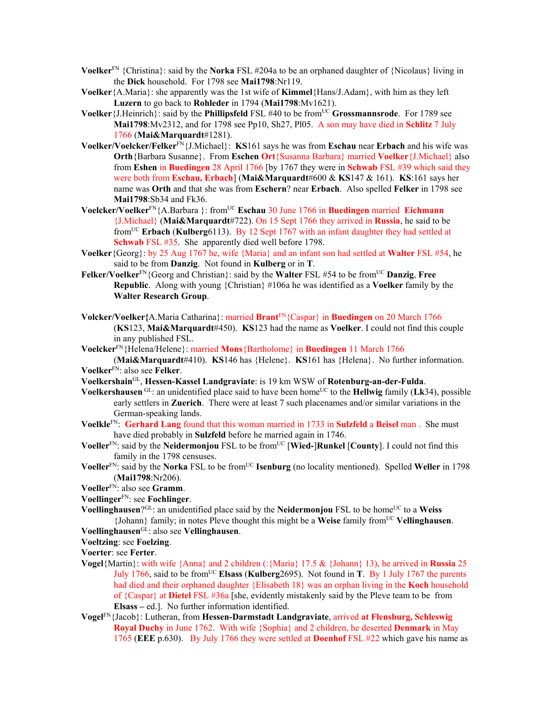- **Voelker**<sup>FN</sup> {Christina}: said by the **Norka** FSL #204a to be an orphaned daughter of {Nicolaus} living in the **Dick** household. For 1798 see **Mai1798**:Nr119.
- **Voelker**{A.Maria}: she apparently was the 1st wife of **Kimmel**{Hans/J.Adam}, with him as they left **Luzern** to go back to **Rohleder** in 1794 (**Mai1798**:Mv1621).
- **Voelker** {J.Heinrich}: said by the **Phillipsfeld** FSL #40 to be from<sup>UC</sup> **Grossmannsrode**. For 1789 see **Mai1798**:Mv2312, and for 1798 see Pp10, Sh27, Pl05. A son may have died in **Schlitz** 7 July 1766 (**Mai&Marquardt**#1281).
- **Voelker/Voelcker/Felker**FN{J.Michael}: **KS**161 says he was from **Eschau** near **Erbach** and his wife was **Orth**{Barbara Susanne}. From **Eschen Ort**{Susanna Barbara} married **Voelker**{J.Michael} also from **Eshen** in **Buedingen** 28 April 1766 [by 1767 they were in **Schwab** FSL #39 which said they were both from **Eschau, Erbach**] (**Mai&Marquardt**#600 & **KS**147 & 161). **KS**:161 says her name was **Orth** and that she was from **Eschern**? near **Erbach**. Also spelled **Felker** in 1798 see **Mai1798**:Sb34 and Fk36.
- **Voelcker/Voelker**FN{A.Barbara }: fromUC **Eschau** 30 June 1766 in **Buedingen** married **Eichmann** {J.Michael} (**Mai&Marquardt**#722). On 15 Sept 1766 they arrived in **Russia**, he said to be fromUC **Erbach** (**Kulberg**6113). By 12 Sept 1767 with an infant daughter they had settled at **Schwab** FSL #35. She apparently died well before 1798.
- **Voelker**{Georg}: by 25 Aug 1767 he, wife {Maria} and an infant son had settled at **Walter** FSL #54, he said to be from **Danzig**. Not found in **Kulberg** or in **T**.
- **Felker/Voelker**FN{Georg and Christian}: said by the **Walter** FSL #54 to be fromUC **Danzig**, **Free Republic**. Along with young {Christian} #106a he was identified as a **Voelker** family by the **Walter Research Group**.
- **Volcker/Voelker{**A.Maria Catharina}: married **Brant**FN{Caspar} in **Buedingen** on 20 March 1766 (**KS**123, **Mai&Marquardt**#450). **KS**123 had the name as **Voelker**. I could not find this couple in any published FSL.
- **Voelcker**FN{Helena/Helene}: married **Mons**{Bartholome} in **Buedingen** 11 March 1766

(**Mai&Marquardt**#410). **KS**146 has {Helene}. **KS**161 has {Helena}. No further information. **Voelker**FN: also see **Felker**.

- **Voelkershain**GL, **Hessen-Kassel Landgraviate**: is 19 km WSW of **Rotenburg-an-der-Fulda**.
- **Voelkershausen** GL: an unidentified place said to have been homeUC to the **Hellwig** family (**Lk**34), possible early settlers in **Zuerich**. There were at least 7 such placenames and/or similar variations in the German-speaking lands.
- **Voelkle**FN: **Gerhard Lang** found that this woman married in 1733 in **Sulzfeld** a **Beisel** man . She must have died probably in **Sulzfeld** before he married again in 1746.
- **Voeller**<sup>FN</sup>: said by the **Neidermonjou** FSL to be from<sup>UC</sup> [Wied-]Runkel [County]. I could not find this family in the 1798 censuses.
- **Voeller**<sup>FN</sup>: said by the **Norka** FSL to be from<sup>UC</sup> **Isenburg** (no locality mentioned). Spelled **Weller** in 1798 (**Mai1798**:Nr206).
- **Voeller**FN: also see **Gramm**.
- **Voellinger**FN: see **Fochlinger**.
- **Voellinghausen**?<sup>GL</sup>: an unidentified place said by the **Neidermonjou** FSL to be home<sup>UC</sup> to a Weiss {Johann} family; in notes Pleve thought this might be a **Weise** family fromUC **Vellinghausen**.
- **Voellinghausen**GL: also see **Vellinghausen**.
- **Voeltzing**: see **Foelzing**.

**Voerter**: see **Ferter**.

- **Vogel**{Martin}: with wife {Anna} and 2 children (:{Maria} 17.5 & {Johann} 13), he arrived in **Russia** 25 July 1766, said to be fromUC **Elsass** (**Kulberg**2695). Not found in **T**. By 1 July 1767 the parents had died and their orphaned daughter {Elisabeth 18} was an orphan living in the **Koch** household of {Caspar} at **Dietel** FSL #36a [she, evidently mistakenly said by the Pleve team to be from **Elsass –** ed.]. No further information identified.
- **Vogel**FN{Jacob}: Lutheran, from **Hessen-Darmstadt Landgraviate**, arrived **at Flensburg, Schleswig Royal Duchy** in June 1762. With wife {Sophia} and 2 children, he deserted **Denmark** in May 1765 (**EEE** p.630). By July 1766 they were settled at **Doenhof** FSL #22 which gave his name as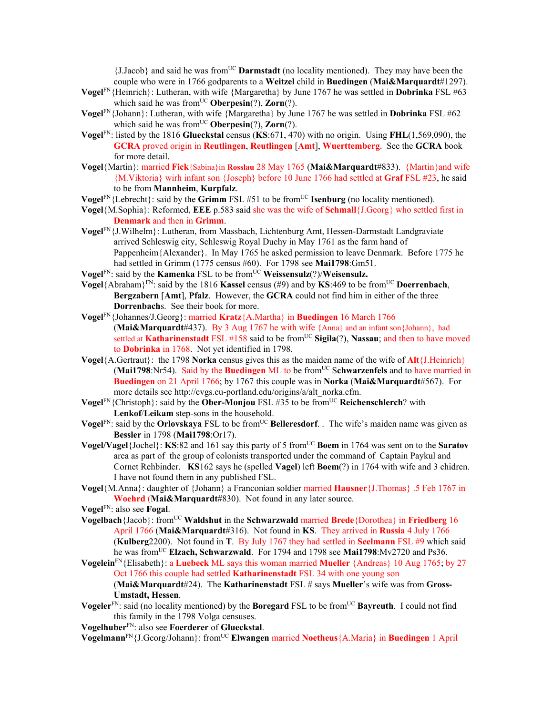{J.Jacob} and said he was fromUC **Darmstadt** (no locality mentioned). They may have been the couple who were in 1766 godparents to a **Weitzel** child in **Buedingen** (**Mai&Marquardt**#1297).

- **Vogel**FN{Heinrich}: Lutheran, with wife {Margaretha} by June 1767 he was settled in **Dobrinka** FSL #63 which said he was from<sup>UC</sup> **Oberpesin** $(?)$ , **Zorn** $(?)$ .
- **Vogel**FN{Johann}: Lutheran, with wife {Margaretha} by June 1767 he was settled in **Dobrinka** FSL #62 which said he was from<sup>UC</sup> Oberpesin(?), Zorn(?).
- **Vogel**FN: listed by the 1816 **Glueckstal** census (**KS**:671, 470) with no origin. Using **FHL**(1,569,090), the **GCRA** proved origin in **Reutlingen**, **Reutlingen** [**Amt**], **Wuerttemberg**. See the **GCRA** book for more detail.
- **Vogel**{Martin}: married **Fick**{Sabina}in **Rosslau** 28 May 1765 (**Mai&Marquardt**#833). {Martin}and wife {M.Viktoria} wirh infant son {Joseph} before 10 June 1766 had settled at **Graf** FSL #23, he said to be from **Mannheim**, **Kurpfalz**.
- **Vogel**<sup>FN</sup>{Lebrecht}: said by the **Grimm** FSL #51 to be from<sup>UC</sup> **Isenburg** (no locality mentioned).
- **Vogel**{M.Sophia}: Reformed, **EEE** p.583 said she was the wife of **Schmall**{J.Georg} who settled first in **Denmark** and then in **Grimm**.
- **Vogel**FN{J.Wilhelm}: Lutheran, from Massbach, Lichtenburg Amt, Hessen-Darmstadt Landgraviate arrived Schleswig city, Schleswig Royal Duchy in May 1761 as the farm hand of Pappenheim{Alexander}. In May 1765 he asked permission to leave Denmark. Before 1775 he had settled in Grimm (1775 census #60). For 1798 see **Mai1798**:Gm51.
- **Vogel**<sup>FN</sup>: said by the **Kamenka** FSL to be from<sup>UC</sup> **Weissensulz**(?)/**Weisensulz.**
- **Vogel**{Abraham}FN: said by the 1816 **Kassel** census (#9) and by **KS**:469 to be fromUC **Doerrenbach**, **Bergzabern** [**Amt**], **Pfalz**. However, the **GCRA** could not find him in either of the three **Dorrenbach**s. See their book for more.
- **Vogel**FN{Johannes/J.Georg}: married **Kratz**{A.Martha} in **Buedingen** 16 March 1766 (**Mai&Marquardt**#437). By 3 Aug 1767 he with wife {Anna} and an infant son{Johann}, had settled at **Katharinenstadt** FSL #158 said to be from<sup>UC</sup> Sigila(?), Nassau; and then to have moved to **Dobrinka** in 1768. Not yet identified in 1798.
- **Vogel**{A.Gertraut}: the 1798 **Norka** census gives this as the maiden name of the wife of **Alt**{J.Heinrich} (Mai1798:Nr54). Said by the **Buedingen** ML to be from<sup>UC</sup> Schwarzenfels and to have married in **Buedingen** on 21 April 1766; by 1767 this couple was in **Norka** (**Mai&Marquardt**#567). For more details see http://cvgs.cu-portland.edu/origins/a/alt\_norka.cfm.
- **Vogel**<sup>FN</sup>{Christoph}: said by the **Ober-Monjou** FSL #35 to be from<sup>UC</sup> **Reichenschlerch**? with **Lenkof**/**Leikam** step-sons in the household.
- **Vogel**<sup>FN</sup>: said by the **Orlovskaya** FSL to be from<sup>UC</sup> **Belleresdorf**. . The wife's maiden name was given as **Bessler** in 1798 (**Mai1798**:Or17).
- **Vogel/Vagel**{Jochel}: **KS**:82 and 161 say this party of 5 from<sup>UC</sup> **Boem** in 1764 was sent on to the **Saratov** area as part of the group of colonists transported under the command of Captain Paykul and Cornet Rehbinder. **KS**162 says he (spelled **Vagel**) left **Boem**(?) in 1764 with wife and 3 chidren. I have not found them in any published FSL.
- **Vogel**{M.Anna}: daughter of {Johann} a Franconian soldier married **Hausner**{J.Thomas} .5 Feb 1767 in **Woehrd** (**Mai&Marquardt**#830). Not found in any later source.

**Vogel**FN: also see **Fogal**.

- **Vogelbach**{Jacob}: fromUC **Waldshut** in the **Schwarzwald** married **Brede**{Dorothea} in **Friedberg** 16 April 1766 (**Mai&Marquardt**#316). Not found in **KS**. They arrived in **Russia** 4 July 1766 (**Kulberg**2200). Not found in **T**. By July 1767 they had settled in **Seelmann** FSL #9 which said he was fromUC **Elzach, Schwarzwald**. For 1794 and 1798 see **Mai1798**:Mv2720 and Ps36.
- **Vogelein**FN{Elisabeth}: a **Luebeck** ML says this woman married **Mueller** {Andreas} 10 Aug 1765; by 27 Oct 1766 this couple had settled **Katharinenstadt** FSL 34 with one young son (**Mai&Marquardt**#24). The **Katharinenstadt** FSL # says **Mueller**'s wife was from **Gross-Umstadt, Hessen**.
- **Vogeler**<sup>FN</sup>: said (no locality mentioned) by the **Boregard** FSL to be from<sup>UC</sup> **Bayreuth**. I could not find this family in the 1798 Volga censuses.
- **Vogelhuber**FN: also see **Foerderer** of **Glueckstal**.
- **Vogelmann**FN{J.Georg/Johann}: fromUC **Elwangen** married **Noetheus**{A.Maria} in **Buedingen** 1 April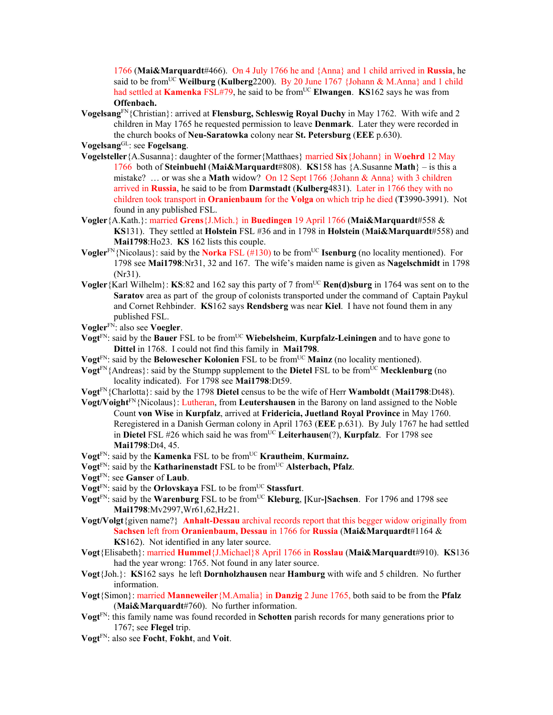1766 (**Mai&Marquardt**#466). On 4 July 1766 he and {Anna} and 1 child arrived in **Russia**, he said to be fromUC **Weilburg** (**Kulberg**2200). By 20 June 1767 {Johann & M.Anna} and 1 child had settled at **Kamenka** FSL#79, he said to be from<sup>UC</sup> Elwangen. **KS**162 says he was from **Offenbach.** 

**Vogelsang**FN{Christian}: arrived at **Flensburg, Schleswig Royal Duchy** in May 1762. With wife and 2 children in May 1765 he requested permission to leave **Denmark**. Later they were recorded in the church books of **Neu-Saratowka** colony near **St. Petersburg** (**EEE** p.630).

**Vogelsang**GL: see **Fogelsang**.

- **Vogelsteller**{A.Susanna}: daughter of the former{Matthaes} married **Six**{Johann} in W**oehrd** 12 May 1766 both of **Steinbuehl** (**Mai&Marquardt**#808). **KS**158 has {A.Susanne **Math**} – is this a mistake? … or was she a **Math** widow? On 12 Sept 1766 {Johann & Anna} with 3 children arrived in **Russia**, he said to be from **Darmstadt** (**Kulberg**4831). Later in 1766 they with no children took transport in **Oranienbaum** for the **Volga** on which trip he died (**T**3990-3991). Not found in any published FSL.
- **Vogler**{A.Kath.}: married **Grens**{J.Mich.} in **Buedingen** 19 April 1766 (**Mai&Marquardt**#558 & **KS**131). They settled at **Holstein** FSL #36 and in 1798 in **Holstein** (**Mai&Marquardt**#558) and **Mai1798**:Ho23. **KS** 162 lists this couple.
- **Vogler**<sup>FN</sup>{Nicolaus}: said by the **Norka** FSL (#130) to be from<sup>UC</sup> **Isenburg** (no locality mentioned). For 1798 see **Mai1798**:Nr31, 32 and 167. The wife's maiden name is given as **Nagelschmidt** in 1798 (Nr31).
- **Vogler**{Karl Wilhelm}: **KS**:82 and 162 say this party of 7 from<sup>UC</sup> **Ren(d)sburg** in 1764 was sent on to the **Saratov** area as part of the group of colonists transported under the command of Captain Paykul and Cornet Rehbinder. **KS**162 says **Rendsberg** was near **Kiel**. I have not found them in any published FSL.
- **Vogler**FN: also see **Voegler**.
- **Vogt**<sup>FN</sup>: said by the **Bauer** FSL to be from<sup>UC</sup> Wiebelsheim, Kurpfalz-Leiningen and to have gone to **Dittel** in 1768. I could not find this family in **Mai1798**.
- **Vogt**<sup>FN</sup>: said by the **Belowescher Kolonien** FSL to be from<sup>UC</sup> **Mainz** (no locality mentioned).
- **Vogt**<sup>FN{</sup>Andreas}: said by the Stumpp supplement to the **Dietel** FSL to be from  $\overline{UC}$  **Mecklenburg** (no locality indicated). For 1798 see **Mai1798**:Dt59.
- **Vogt**FN{Charlotta}: said by the 1798 **Dietel** census to be the wife of Herr **Wamboldt** (**Mai1798**:Dt48).
- **Vogt/Voight**<sup>FN</sup>{Nicolaus}: Lutheran, from Leutershausen in the Barony on land assigned to the Noble Count **von Wise** in **Kurpfalz**, arrived at **Fridericia, Juetland Royal Province** in May 1760. Reregistered in a Danish German colony in April 1763 (**EEE** p.631). By July 1767 he had settled in **Dietel** FSL #26 which said he was from<sup>UC</sup> Leiterhausen(?), **Kurpfalz**. For 1798 see **Mai1798**:Dt4, 45.
- **Vogt<sup>FN</sup>: said by the <b>Kamenka** FSL to be from<sup>UC</sup> **Krautheim**, **Kurmainz.**
- **Vogt**<sup>FN</sup>: said by the **Katharinenstadt** FSL to be from<sup>UC</sup> **Alsterbach, Pfalz**.
- **Vogt**FN: see **Ganser** of **Laub**.
- **Vogt**<sup>FN</sup>: said by the **Orlovskaya** FSL to be from<sup>UC</sup> Stassfurt.
- **Vogt**FN: said by the **Warenburg** FSL to be fromUC **Kleburg**, **[**Kur**-]Sachsen**. For 1796 and 1798 see **Mai1798**:Mv2997,Wr61,62,Hz21.
- **Vogt/Volgt**{given name?} **Anhalt-Dessau** archival records report that this begger widow originally from **Sachsen** left from **Oranienbaum, Dessau** in 1766 for **Russia** (**Mai&Marquardt**#1164 & **KS**162). Not identified in any later source.
- **Vogt**{Elisabeth}: married **Hummel**{J.Michael}8 April 1766 in **Rosslau** (**Mai&Marquardt**#910). **KS**136 had the year wrong: 1765. Not found in any later source.
- **Vogt**{Joh.}: **KS**162 says he left **Dornholzhausen** near **Hamburg** with wife and 5 children. No further information.
- **Vogt**{Simon}: married **Manneweiler**{M.Amalia} in **Danzig** 2 June 1765, both said to be from the **Pfalz**  (**Mai&Marquardt**#760). No further information.
- **Vogt**FN: this family name was found recorded in **Schotten** parish records for many generations prior to 1767; see **Flegel** trip.
- **Vogt**FN: also see **Focht**, **Fokht**, and **Voit**.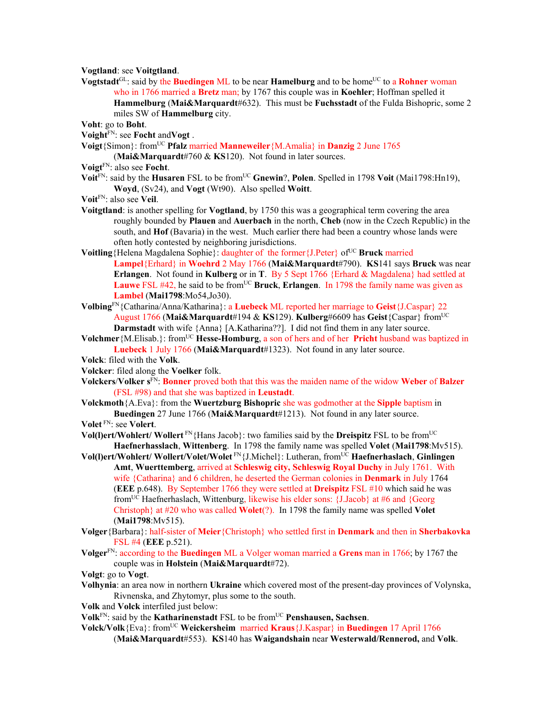**Vogtland**: see **Voitgtland**.

**Vogtstadt**<sup>GL</sup>: said by the **Buedingen** ML to be near **Hamelburg** and to be home<sup>UC</sup> to a **Rohner** woman who in 1766 married a **Bretz** man; by 1767 this couple was in **Koehler**; Hoffman spelled it **Hammelburg** (**Mai&Marquardt**#632). This must be **Fuchsstadt** of the Fulda Bishopric, some 2 miles SW of **Hammelburg** city.

**Voht**: go to **Boht**.

**Voight**FN: see **Focht** and**Vogt** .

**Voigt**{Simon}: fromUC **Pfalz** married **Manneweiler**{M.Amalia} in **Danzig** 2 June 1765

(**Mai&Marquardt**#760 & **KS**120). Not found in later sources.

- **Voigt**FN: also see **Focht**.
- **Voit<sup>FN</sup>:** said by the **Husaren** FSL to be from<sup>UC</sup> Gnewin?, **Polen**. Spelled in 1798 **Voit** (Mai1798:Hn19), **Woyd**, (Sv24), and **Vogt** (Wt90). Also spelled **Woitt**.
- **Voit**FN: also see **Veil**.
- **Voitgtland**: is another spelling for **Vogtland**, by 1750 this was a geographical term covering the area roughly bounded by **Plauen** and **Auerbach** in the north, **Cheb** (now in the Czech Republic) in the south, and **Hof** (Bavaria) in the west. Much earlier there had been a country whose lands were often hotly contested by neighboring jurisdictions.
- Voitling {Helena Magdalena Sophie}: daughter of the former {J.Peter} of<sup>UC</sup> **Bruck** married **Lampel**{Erhard} in **Woehrd** 2 May 1766 (**Mai&Marquardt**#790). **KS**141 says **Bruck** was near **Erlangen**. Not found in **Kulberg** or in **T**. By 5 Sept 1766 {Erhard & Magdalena} had settled at **Lauwe** FSL #42, he said to be from<sup>UC</sup> **Bruck**, **Erlangen**. In 1798 the family name was given as **Lambel** (**Mai1798**:Mo54,Jo30).
- **Volbing**FN{Catharina/Anna/Katharina}: a **Luebeck** ML reported her marriage to **Geist**{J.Caspar} 22 August 1766 (**Mai&Marquardt**#194 & **KS**129). **Kulberg**#6609 has **Geist**{Caspar} fromUC **Darmstadt** with wife {Anna} [A.Katharina??]. I did not find them in any later source.
- **Volchmer** {M.Elisab.}: from<sup>UC</sup> **Hesse-Homburg**, a son of hers and of her **Pricht** husband was baptized in **Luebeck** 1 July 1766 (**Mai&Marquardt**#1323). Not found in any later source.
- **Volck**: filed with the **Volk**.
- **Volcker**: filed along the **Voelker** folk.
- **Volckers**/**Volker s**FN: **Bonner** proved both that this was the maiden name of the widow **Weber** of **Balzer** (FSL #98) and that she was baptized in **Leustadt**.
- **Volckmoth**{A.Eva}: from the **Wuertzburg Bishopric** she was godmother at the **Sipple** baptism in **Buedingen** 27 June 1766 (**Mai&Marquardt**#1213). Not found in any later source.

**Volet** FN: see **Volert**.

- **Vol(1)ert/Wohlert/ Wollert** FN{Hans Jacob}: two families said by the **Dreispitz** FSL to be from<sup>UC</sup> **Haefnerhasslach**, **Wittenberg**. In 1798 the family name was spelled **Volet** (**Mai1798**:Mv515).
- **Vol(l)ert/Wohlert/ Wollert/Volet/Wolet** FN{J.Michel}: Lutheran, fromUC **Haefnerhaslach**, **Ginlingen Amt**, **Wuerttemberg**, arrived at **Schleswig city, Schleswig Royal Duchy** in July 1761. With wife {Catharina} and 6 children, he deserted the German colonies in **Denmark** in July 1764 (**EEE** p.648). By September 1766 they were settled at **Dreispitz** FSL #10 which said he was from<sup>UC</sup> Haefnerhaslach, Wittenburg, likewise his elder sons: {J.Jacob} at #6 and {Georg Christoph} at #20 who was called **Wolet**(?). In 1798 the family name was spelled **Volet** (**Mai1798**:Mv515).
- **Volger**{Barbara}: half-sister of **Meier**{Christoph} who settled first in **Denmark** and then in **Sherbakovka** FSL #4 (**EEE** p.521).
- **Volger**FN: according to the **Buedingen** ML a Volger woman married a **Grens** man in 1766; by 1767 the couple was in **Holstein** (**Mai&Marquardt**#72).
- **Volgt**: go to **Vogt**.
- **Volhynia**: an area now in northern **Ukraine** which covered most of the present-day provinces of Volynska, Rivnenska, and Zhytomyr, plus some to the south.
- **Volk** and **Volck** interfiled just below:
- **Volk**<sup>FN</sup>: said by the **Katharinenstadt** FSL to be from<sup>UC</sup> **Penshausen, Sachsen**.

**Volck/Volk**{Eva}: fromUC **Weickersheim** married **Kraus**{J.Kaspar} in **Buedingen** 17 April 1766

(**Mai&Marquardt**#553). **KS**140 has **Waigandshain** near **Westerwald/Rennerod,** and **Volk**.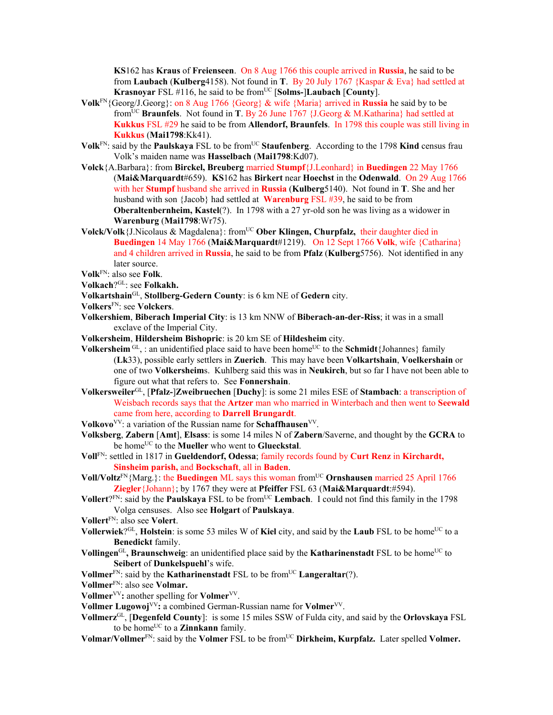**KS**162 has **Kraus** of **Freienseen**. On 8 Aug 1766 this couple arrived in **Russia**, he said to be from **Laubach** (**Kulberg**4158). Not found in **T**.By 20 July 1767 {Kaspar & Eva} had settled at **Krasnoyar** FSL #116, he said to be fromUC [**Solms-**]**Laubach** [**County**].

- **Volk**FN{Georg/J.Georg}: on 8 Aug 1766 {Georg} & wife {Maria} arrived in **Russia** he said by to be fromUC **Braunfels**. Not found in **T**. By 26 June 1767 {J.Georg & M.Katharina} had settled at **Kukkus** FSL #29 he said to be from **Allendorf, Braunfels**. In 1798 this couple was still living in **Kukkus** (**Mai1798**:Kk41).
- **Volk**<sup>FN</sup>: said by the **Paulskaya** FSL to be from<sup>UC</sup> Staufenberg. According to the 1798 **Kind** census frau Volk's maiden name was **Hasselbach** (**Mai1798**:Kd07).
- **Volck**{A.Barbara}: from **Birckel, Breuberg** married **Stumpf**{J.Leonhard} in **Buedingen** 22 May 1766 (**Mai&Marquardt**#659). **KS**162 has **Birkert** near **Hoechst** in the **Odenwald**. On 29 Aug 1766 with her **Stumpf** husband she arrived in **Russia** (**Kulberg**5140). Not found in **T**. She and her husband with son {Jacob} had settled at **Warenburg** FSL #39, he said to be from **Oberaltenbernheim, Kastel**(?). In 1798 with a 27 yr-old son he was living as a widower in **Warenburg** (**Mai1798**:Wr75).
- Volck/Volk {J.Nicolaus & Magdalena}: from<sup>UC</sup> Ober Klingen, Churpfalz, their daughter died in **Buedingen** 14 May 1766 (**Mai&Marquardt**#1219). On 12 Sept 1766 **Volk**, wife {Catharina} and 4 children arrived in **Russia**, he said to be from **Pfalz** (**Kulberg**5756). Not identified in any later source.

- **Volkach**?GL: see **Folkakh.**
- **Volkartshain**GL, **Stollberg-Gedern County**: is 6 km NE of **Gedern** city.
- **Volkers**FN: see **Volckers**.
- **Volkershiem**, **Biberach Imperial City**: is 13 km NNW of **Biberach-an-der-Riss**; it was in a small exclave of the Imperial City.
- **Volkersheim**, **Hildersheim Bishopric**: is 20 km SE of **Hildesheim** city.
- **Volkersheim**  $GL$ , : an unidentified place said to have been home<sup>UC</sup> to the **Schmidt** {Johannes} family (**Lk**33), possible early settlers in **Zuerich**. This may have been **Volkartshain**, **Voelkershain** or one of two **Volkersheim**s. Kuhlberg said this was in **Neukirch**, but so far I have not been able to figure out what that refers to. See **Fonnershain**.
- **Volkersweiler**GL, [**Pfalz-**]**Zweibruechen** [**Duchy**]: is some 21 miles ESE of **Stambach**: a transcription of Weisbach records says that the **Artzer** man who married in Winterbach and then went to **Seewald**  came from here, according to **Darrell Brungardt**.
- **Volkovo**<sup>VV</sup>: a variation of the Russian name for **Schaffhausen**<sup>VV</sup>.
- **Volksberg**, **Zabern** [**Amt**], **Elsass**: is some 14 miles N of **Zabern**/Saverne, and thought by the **GCRA** to be home<sup>UC</sup> to the **Mueller** who went to **Glueckstal**.
- **Voll**FN: settled in 1817 in **Gueldendorf, Odessa**; family records found by **Curt Renz** in **Kirchardt, Sinsheim parish,** and **Bockschaft**, all in **Baden**.
- **Voll/Voltz**FN{Marg.}: the **Buedingen** ML says this woman fromUC **Ornshausen** married 25 April 1766 **Ziegler**{Johann}; by 1767 they were at **Pfeiffer** FSL 63 (**Mai&Marquardt**:#594).
- **Vollert**?<sup>FN</sup>: said by the **Paulskaya** FSL to be from<sup>UC</sup> Lembach. I could not find this family in the 1798 Volga censuses. Also see **Holgart** of **Paulskaya**.
- **Vollert**FN: also see **Volert**.
- **Vollerwiek**?<sup>GL</sup>, **Holstein**: is some 53 miles W of **Kiel** city, and said by the **Laub** FSL to be home<sup>UC</sup> to a **Benedickt** family.
- **Vollingen**<sup>GL</sup>, **Braunschweig**: an unidentified place said by the **Katharinenstadt** FSL to be home<sup>UC</sup> to **Seibert** of **Dunkelspuehl**'s wife.
- **Vollmer**<sup>FN</sup>: said by the **Katharinenstadt** FSL to be from<sup>UC</sup> **Langeraltar**(?).
- **Vollmer**FN: also see **Volmar.**
- **Vollmer**<sup>VV</sup>: another spelling for **Volmer**<sup>VV</sup>.
- **Vollmer Lugowoj**<sup>VV</sup>: a combined German-Russian name for **Volmer**<sup>VV</sup>.
- **Vollmerz**GL, [**Degenfeld County**]: is some 15 miles SSW of Fulda city, and said by the **Orlovskaya** FSL to be home<sup>UC</sup> to a **Zinnkann** family.
- **Volmar/Vollmer**FN: said by the **Volmer** FSL to be fromUC **Dirkheim, Kurpfalz.** Later spelled **Volmer.**

**Volk**FN: also see **Folk**.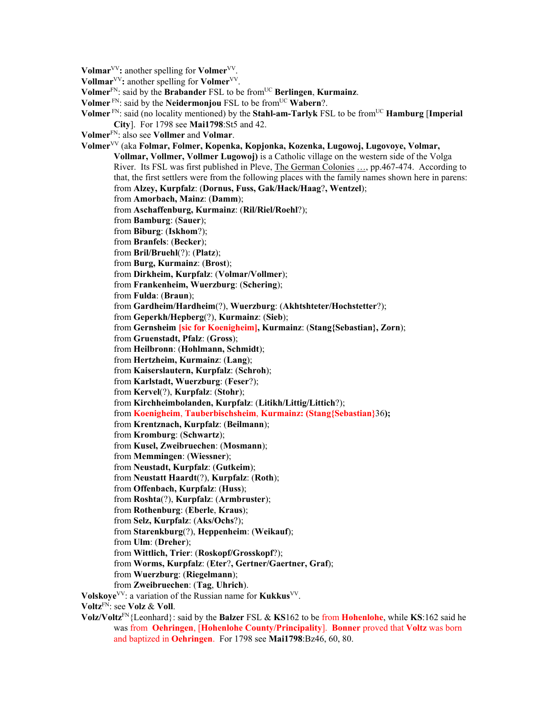**Volmar**<sup>VV</sup>: another spelling for **Volmer**<sup>VV</sup>.

**Vollmar**VV**:** another spelling for **Volmer**VV.

**Volmer**FN: said by the **Brabander** FSL to be fromUC **Berlingen**, **Kurmainz**.

**Volmer** FN: said by the **Neidermoniou** FSL to be from<sup>UC</sup> **Wabern**?.

**Volmer**  $\text{FN}$ : said (no locality mentioned) by the **Stahl-am-Tarlyk** FSL to be from<sup>UC</sup> **Hamburg** [Imperial **City**]. For 1798 see **Mai1798**:St5 and 42.

**Volmer**FN: also see **Vollmer** and **Volmar**.

**Volmer**VV (aka **Folmar, Folmer, Kopenka, Kopjonka, Kozenka, Lugowoj, Lugovoye, Volmar, Vollmar, Vollmer, Vollmer Lugowoj)** is a Catholic village on the western side of the Volga River. Its FSL was first published in Pleve, The German Colonies ..., pp.467-474. According to that, the first settlers were from the following places with the family names shown here in parens: from **Alzey, Kurpfalz**: (**Dornus, Fuss, Gak/Hack/Haag**?**, Wentzel**); from **Amorbach, Mainz**: (**Damm**); from **Aschaffenburg, Kurmainz**: (**Ril/Riel/Roehl**?); from **Bamburg**: (**Sauer**); from **Biburg**: (**Iskhom**?); from **Branfels**: (**Becker**); from **Bril/Bruehl**(?): (**Platz**); from **Burg, Kurmainz**: (**Brost**); from **Dirkheim, Kurpfalz**: (**Volmar/Vollmer**); from **Frankenheim, Wuerzburg**: (**Schering**); from **Fulda**: (**Braun**); from **Gardheim/Hardheim**(?), **Wuerzburg**: (**Akhtshteter/Hochstetter**?); from **Geperkh/Hepberg**(?), **Kurmainz**: (**Sieb**); from **Gernsheim [sic for Koenigheim], Kurmainz**: (**Stang{Sebastian}, Zorn**); from **Gruenstadt, Pfalz**: (**Gross**); from **Heilbronn**: (**Hohlmann, Schmidt**); from **Hertzheim, Kurmainz**: (**Lang**); from **Kaiserslautern, Kurpfalz**: (**Schroh**); from **Karlstadt, Wuerzburg**: (**Feser**?); from **Kervel**(?), **Kurpfalz**: (**Stohr**); from **Kirchheimbolanden, Kurpfalz**: (**Litikh/Littig/Littich**?); from **Koenigheim**, **Tauberbischsheim**, **Kurmainz: (Stang{Sebastian}**36**);** from **Krentznach, Kurpfalz**: (**Beilmann**); from **Kromburg**: (**Schwartz**); from **Kusel, Zweibruechen**: (**Mosmann**); from **Memmingen**: (**Wiessner**); from **Neustadt, Kurpfalz**: (**Gutkeim**); from **Neustatt Haardt**(?), **Kurpfalz**: (**Roth**); from **Offenbach, Kurpfalz**: (**Huss**); from **Roshta**(?), **Kurpfalz**: (**Armbruster**); from **Rothenburg**: (**Eberle**, **Kraus**); from **Selz, Kurpfalz**: (**Aks/Ochs**?); from **Starenkburg**(?), **Heppenheim**: (**Weikauf**); from **Ulm**: (**Dreher**); from **Wittlich, Trier**: (**Roskopf/Grosskopf**?); from **Worms, Kurpfalz**: (**Eter**?**, Gertner/Gaertner, Graf**); from **Wuerzburg**: (**Riegelmann**); from **Zweibruechen**: (**Tag**, **Uhrich**). **Volskoye**VV: a variation of the Russian name for **Kukkus**VV. **Voltz**FN: see **Volz** & **Voll**. **Volz/Voltz**FN{Leonhard}: said by the **Balzer** FSL & **KS**162 to be from **Hohenlohe**, while **KS**:162 said he

was from **Oehringen**, [**Hohenlohe County/Principality**]. **Bonner** proved that **Voltz** was born and baptized in **Oehringen**. For 1798 see **Mai1798**:Bz46, 60, 80.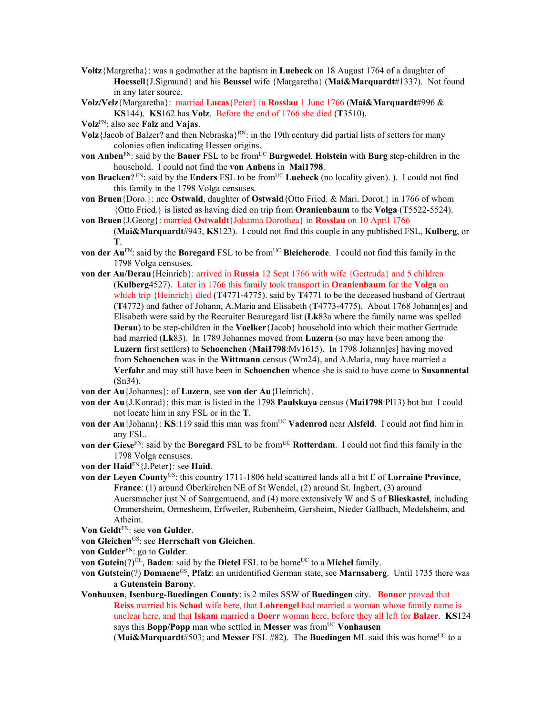- **Voltz**{Margretha}: was a godmother at the baptism in **Luebeck** on 18 August 1764 of a daughter of **Hoessell**{J.Sigmund} and his **Beussel** wife {Margaretha} (**Mai&Marquardt**#1337). Not found in any later source.
- **Volz/Velz**{Margaretha}: married **Lucas**{Peter} in **Rosslau** 1 June 1766 (**Mai&Marquardt**#996 & **KS**144). **KS**162 has **Volz**. Before the end of 1766 she died (**T**3510).
- **Volz**FN: also see **Falz** and **Vajas**.
- **Volz**{Jacob of Balzer? and then Nebraska}<sup>RN</sup>: in the 19th century did partial lists of setters for many colonies often indicating Hessen origins.
- **von Anben**<sup>FN</sup>: said by the **Bauer** FSL to be from<sup>UC</sup> **Burgwedel**, **Holstein** with **Burg** step-children in the household. I could not find the **von Anben**s in **Mai1798**.
- **von Bracken**? FN: said by the **Enders** FSL to be from<sup>UC</sup> **Luebeck** (no locality given). ). I could not find this family in the 1798 Volga censuses.
- **von Bruen**{Doro.}: nee **Ostwald**, daughter of **Ostwald**{Otto Fried. & Mari. Dorot.} in 1766 of whom {Otto Fried.} is listed as having died on trip from **Oranienbaum** to the **Volga** (**T**5522-5524).
- **von Bruen**{J.Georg}: married **Ostwaldt**{Johanna Dorothea} in **Rosslau** on 10 April 1766 (**Mai&Marquardt**#943, **KS**123). I could not find this couple in any published FSL, **Kulberg**, or **T**.
- **von der Au<sup>FN</sup>:** said by the **Boregard** FSL to be from<sup>UC</sup> **Bleicherode**. I could not find this family in the 1798 Volga censuses.
- **von der Au/Derau**{Heinrich}: arrived in **Russia** 12 Sept 1766 with wife {Gertruda} and 5 children (**Kulberg**4527). Later in 1766 this family took transport in **Oranienbaum** for the **Volga** on which trip {Heinrich} died (**T**4771-4775). said by **T**4771 to be the deceased husband of Gertraut (**T**4772) and father of Johann, A.Maria and Elisabeth (**T**4773-4775). About 1768 Johann[es] and Elisabeth were said by the Recruiter Beauregard list (**Lk**83a where the family name was spelled **Derau**) to be step-children in the **Voelker**{Jacob} household into which their mother Gertrude had married (**Lk**83). In 1789 Johannes moved from **Luzern** (so may have been among the **Luzern** first settlers) to **Schoenchen** (**Mai1798**:Mv1615). In 1798 Johann[es] having moved from **Schoenchen** was in the **Wittmann** census (Wm24), and A.Maria, may have married a **Verfahr** and may still have been in **Schoenchen** whence she is said to have come to **Susannental** (Sn34).
- **von der Au**{Johannes}: of **Luzern**, see **von der Au**{Heinrich}.
- **von der Au**{J.Konrad}; this man is listed in the 1798 **Paulskaya** census (**Mai1798**:Pl13) but but I could not locate him in any FSL or in the **T**.
- **von der Au**{Johann}: **KS**:119 said this man was from<sup>UC</sup> **Vadenrod** near **Alsfeld**. I could not find him in any FSL.
- **von der Giese**<sup>FN</sup>: said by the **Boregard** FSL to be from<sup>UC</sup> **Rotterdam**. I could not find this family in the 1798 Volga censuses.
- **von der Haid**FN{J.Peter}: see **Haid**.
- von der Leyen County<sup>GS</sup>: this country 1711-1806 held scattered lands all a bit E of Lorraine Province, **France**: (1) around Oberkirchen NE of St Wendel, (2) around St. Ingbert, (3) around Auersmacher just N of Saargemuend, and (4) more extensively W and S of **Blieskastel**, including Ommersheim, Ormesheim, Erfweiler, Rubenheim, Gersheim, Nieder Gallbach, Medelsheim, and Atheim.
- **Von Geldt**FN: see **von Gulder**.
- **von Gleichen**GS: see **Herrschaft von Gleichen**.
- **von Gulder**FN: go to **Gulder**.
- **von Gutein**(?) $G<sup>L</sup>$ , **Baden**: said by the **Dietel** FSL to be home<sup>UC</sup> to a **Michel** family.
- **von Gutstein**(?) **Domaene**GS, **Pfalz**: an unidentified German state, see **Marnsaberg**. Until 1735 there was a **Gutenstein Barony**.
- **Vonhausen**, **Isenburg-Buedingen County**: is 2 miles SSW of **Buedingen** city. **Bonner** proved that **Reiss** married his **Schad** wife here, that **Lohrengel** had married a woman whose family name is unclear here, and that **Iskam** married a **Doerr** woman here, before they all left for **Balzer**. **KS**124 says this **Bopp/Popp** man who settled in **Messer** was fromUC **Vonhausen**
	- (Mai&Marquardt#503; and Messer FSL #82). The Buedingen ML said this was home<sup>UC</sup> to a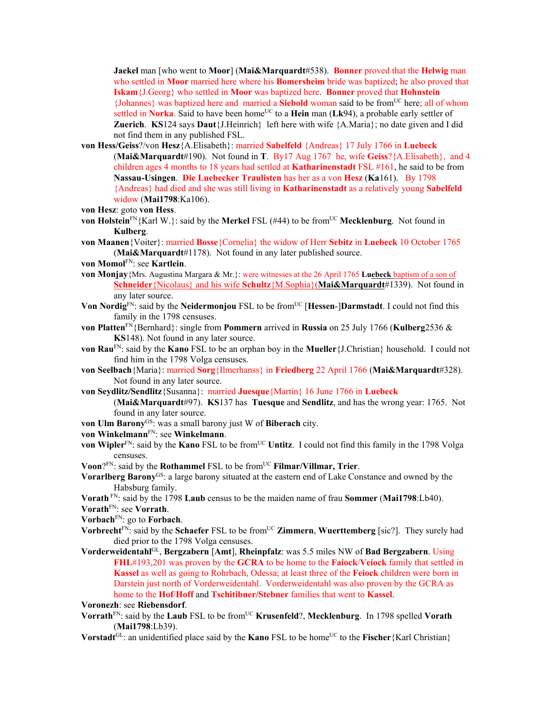**Jaekel** man [who went to **Moor**] (**Mai&Marquardt**#538). **Bonner** proved that the **Helwig** man who settled in **Moor** married here where his **Bomersheim** bride was baptized; he also proved that **Iskam**{J.Georg} who settled in **Moor** was baptized here. **Bonner** proved that **Hohnstein** {Johannes} was baptized here and married a **Siebold** woman said to be fromUC here; all of whom settled in **Norka**. Said to have been home<sup>UC</sup> to a **Hein** man (Lk94), a probable early settler of **Zuerich**. **KS**124 says **Daut**{J.Heinrich} left here with wife {A.Maria}; no date given and I did not find them in any published FSL.

- **von Hess/Geiss**?/von **Hesz**{A.Elisabeth}: married **Sabelfeld** {Andreas} 17 July 1766 in **Luebeck**  (**Mai&Marquardt**#190). Not found in **T**. By17 Aug 1767 he, wife **Geiss**?{A.Elisabeth}, and 4 children ages 4 months to 18 years had settled at **Katharinenstadt** FSL #161, he said to be from **Nassau-Usingen**. **Die Luebecker Traulisten** has her as a von **Hesz** (**Ka**161). By 1798 {Andreas} had died and she was still living in **Katharinenstadt** as a relatively young **Sabelfeld**  widow (**Mai1798**:Ka106).
- **von Hesz**: goto **von Hess**.
- **von Holstein**<sup>FN</sup>{Karl W.}: said by the **Merkel** FSL (#44) to be from<sup>UC</sup> **Mecklenburg**. Not found in **Kulberg**.
- **von Maanen**{Voiter}: married **Bosse**{Cornelia} the widow of Herr **Sebitz** in **Luebeck** 10 October 1765 (**Mai&Marquardt**#1178). Not found in any later published source.
- **von Momol**FN: see **Kartlein**.
- **von Monjay**{Mrs. Augustina Margara & Mr.}: were witnesses at the 26 April 1765 **Luebeck** baptism of a son of **Schneider**{Nicolaus} and his wife **Schultz**{M.Sophia}(**Mai&Marquardt**#1339). Not found in any later source.
- **Von Nordig**FN: said by the **Neidermonjou** FSL to be fromUC [**Hessen**-]**Darmstadt**. I could not find this family in the 1798 censuses.
- **von Platten**FN{Bernhard}: single from **Pommern** arrived in **Russia** on 25 July 1766 (**Kulberg**2536 & **KS**148). Not found in any later source.
- **von Rau**FN: said by the **Kano** FSL to be an orphan boy in the **Mueller**{J.Christian} household. I could not find him in the 1798 Volga censuses.
- **von Seelbach**{Maria}: married **Sorg**{Ilmerhanss} in **Friedberg** 22 April 1766 (**Mai&Marquardt**#328). Not found in any later source.
- **von Seydlitz/Sendlitz**{Susanna}: married **Juesque**{Martin} 16 June 1766 in **Luebeck**

(**Mai&Marquardt**#97). **KS**137 has **Tuesque** and **Sendlitz**, and has the wrong year: 1765. Not found in any later source.

- **von Ulm Barony**<sup>GS</sup>: was a small barony just W of **Biberach** city.
- **von Winkelmann**FN: see **Winkelmann**.
- **von Wipler**<sup>FN</sup>: said by the **Kano** FSL to be from<sup>UC</sup> **Untitz**. I could not find this family in the 1798 Volga censuses.
- **Voon**?<sup>FN</sup>: said by the **Rothammel** FSL to be from<sup>UC</sup> **Filmar/Villmar, Trier**.
- Vorarlberg Barony<sup>GS</sup>: a large barony situated at the eastern end of Lake Constance and owned by the Habsburg family.
- **Vorath** FN: said by the 1798 **Laub** census to be the maiden name of frau **Sommer** (**Mai1798**:Lb40). **Vorath**FN: see **Vorrath**.

**Vorbach**FN: go to **Forbach**.

- **Vorbrecht**<sup>FN</sup>: said by the **Schaefer** FSL to be from<sup>UC</sup> **Zimmern**, **Wuerttemberg** [sic?]. They surely had died prior to the 1798 Volga censuses.
- **Vorderweidentahl**GL, **Bergzabern** [**Amt**], **Rheinpfalz**: was 5.5 miles NW of **Bad Bergzabern**. Using **FHL**#193,201 was proven by the **GCRA** to be home to the **Faiock**/**Veiock** family that settled in **Kassel** as well as going to Rohrbach, Odessa; at least three of the **Feiock** children were born in Darstein just north of Vorderweidentahl. Vorderweidentahl was also proven by the GCRA as home to the **Hof**/**Hoff** and **Tschitibner/Stebner** families that went to **Kassel**.

**Voronezh**: see **Riebensdorf**.

- **Vorrath**<sup>FN</sup>: said by the **Laub** FSL to be from<sup>UC</sup> **Krusenfeld**?, **Mecklenburg**. In 1798 spelled **Vorath** (**Mai1798**:Lb39).
- **Vorstadt**<sup>GL</sup>: an unidentified place said by the **Kano** FSL to be home<sup>UC</sup> to the **Fischer**{Karl Christian}